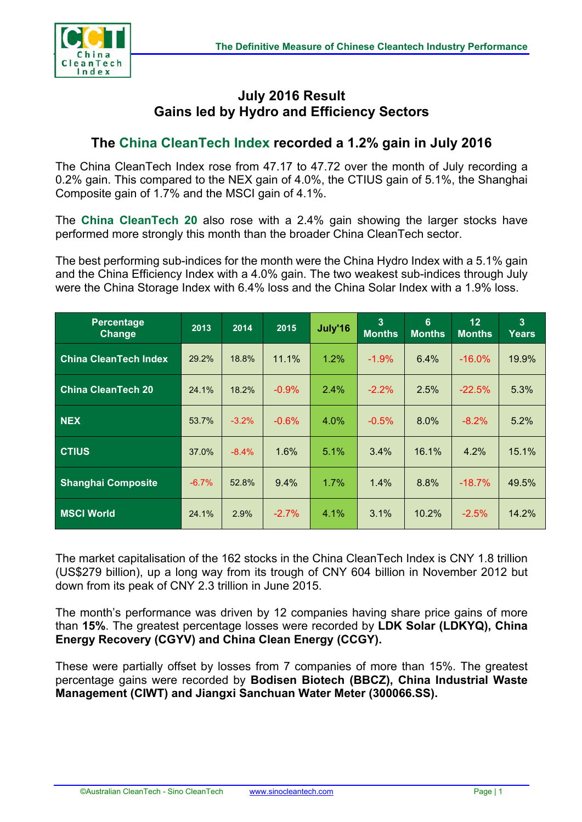

## **July 2016 Result Gains led by Hydro and Efficiency Sectors**

## **The China CleanTech Index recorded a 1.2% gain in July 2016**

The China CleanTech Index rose from 47.17 to 47.72 over the month of July recording a 0.2% gain. This compared to the NEX gain of 4.0%, the CTIUS gain of 5.1%, the Shanghai Composite gain of 1.7% and the MSCI gain of 4.1%.

The **China CleanTech 20** also rose with a 2.4% gain showing the larger stocks have performed more strongly this month than the broader China CleanTech sector.

The best performing sub-indices for the month were the China Hydro Index with a 5.1% gain and the China Efficiency Index with a 4.0% gain. The two weakest sub-indices through July were the China Storage Index with 6.4% loss and the China Solar Index with a 1.9% loss.

| <b>Percentage</b><br>Change  | 2013    | 2014    | 2015     | July'16 | $\overline{3}$<br><b>Months</b> | 6<br><b>Months</b> | 12<br><b>Months</b> | $\overline{3}$<br><b>Years</b> |
|------------------------------|---------|---------|----------|---------|---------------------------------|--------------------|---------------------|--------------------------------|
| <b>China CleanTech Index</b> | 29.2%   | 18.8%   | 11.1%    | 1.2%    | $-1.9%$                         | 6.4%               | $-16.0%$            | 19.9%                          |
| <b>China CleanTech 20</b>    | 24.1%   | 18.2%   | $-0.9%$  | 2.4%    | $-2.2%$                         | 2.5%               | $-22.5%$            | 5.3%                           |
| <b>NEX</b>                   | 53.7%   | $-3.2%$ | $-0.6\%$ | 4.0%    | $-0.5%$                         | 8.0%               | $-8.2%$             | 5.2%                           |
| <b>CTIUS</b>                 | 37.0%   | $-8.4%$ | 1.6%     | 5.1%    | 3.4%                            | 16.1%              | 4.2%                | 15.1%                          |
| <b>Shanghai Composite</b>    | $-6.7%$ | 52.8%   | 9.4%     | 1.7%    | 1.4%                            | 8.8%               | $-18.7%$            | 49.5%                          |
| <b>MSCI World</b>            | 24.1%   | 2.9%    | $-2.7\%$ | 4.1%    | 3.1%                            | 10.2%              | $-2.5%$             | 14.2%                          |

The market capitalisation of the 162 stocks in the China CleanTech Index is CNY 1.8 trillion (US\$279 billion), up a long way from its trough of CNY 604 billion in November 2012 but down from its peak of CNY 2.3 trillion in June 2015.

The month's performance was driven by 12 companies having share price gains of more than **15%**. The greatest percentage losses were recorded by **LDK Solar (LDKYQ), China Energy Recovery (CGYV) and China Clean Energy (CCGY).** 

These were partially offset by losses from 7 companies of more than 15%. The greatest percentage gains were recorded by **Bodisen Biotech (BBCZ), China Industrial Waste Management (CIWT) and Jiangxi Sanchuan Water Meter (300066.SS).**